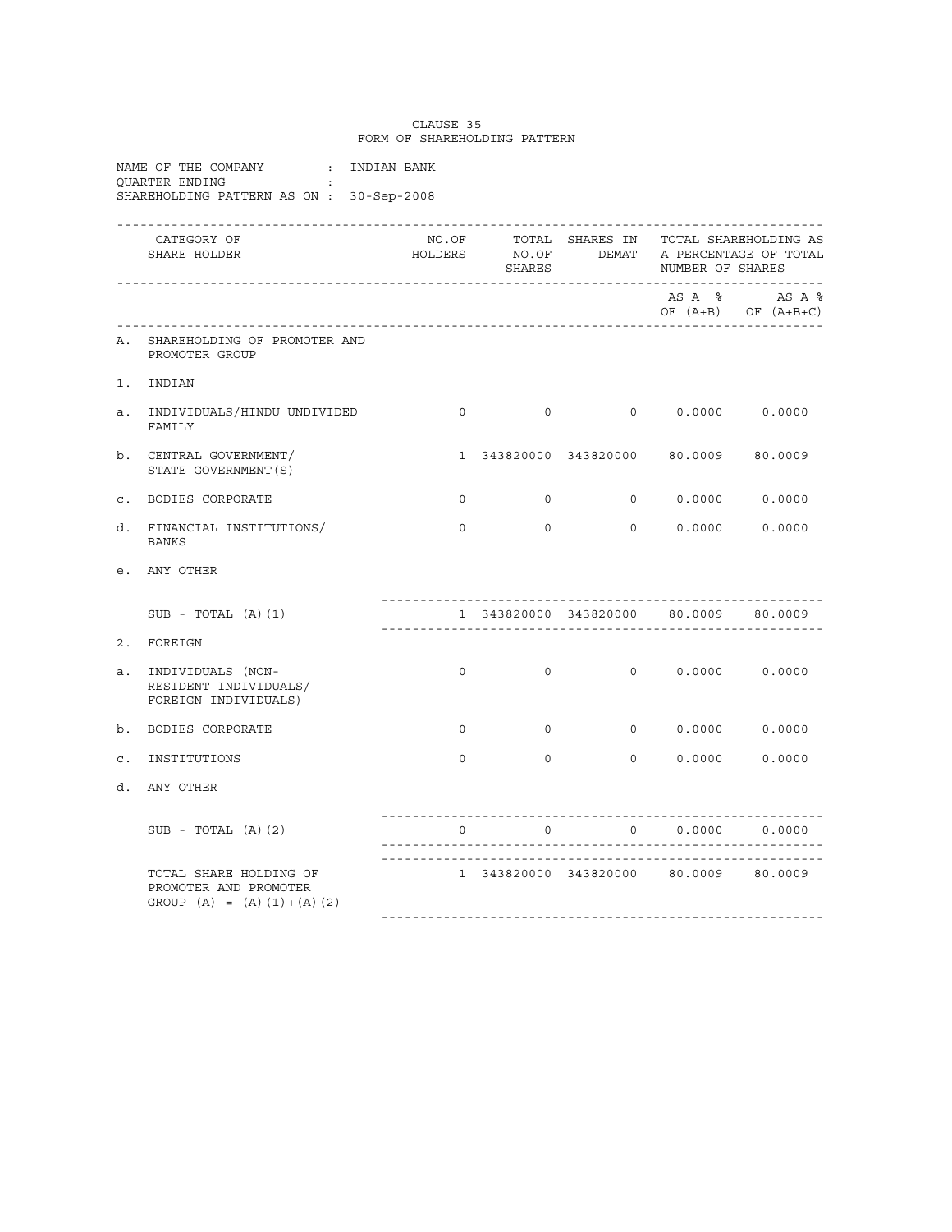|                |                                                                                                          |          | FORM OF SHAREHOLDING PATTERN            |                                       |                         |                                                                                    |
|----------------|----------------------------------------------------------------------------------------------------------|----------|-----------------------------------------|---------------------------------------|-------------------------|------------------------------------------------------------------------------------|
|                | NAME OF THE COMPANY $\qquad$ : INDIAN BANK<br>OUARTER ENDING<br>SHAREHOLDING PATTERN AS ON : 30-Sep-2008 |          |                                         |                                       |                         |                                                                                    |
|                | CATEGORY OF<br>SHARE HOLDER                                                                              | NO.OF    | SHARES                                  |                                       | NUMBER OF SHARES        | TOTAL SHARES IN TOTAL SHAREHOLDING AS<br>HOLDERS NO.OF DEMAT A PERCENTAGE OF TOTAL |
|                |                                                                                                          |          |                                         |                                       |                         | AS A % AS A %<br>OF $(A+B)$ OF $(A+B+C)$                                           |
| A.             | SHAREHOLDING OF PROMOTER AND<br>PROMOTER GROUP                                                           |          |                                         |                                       |                         |                                                                                    |
|                | 1. INDIAN                                                                                                |          |                                         |                                       |                         |                                                                                    |
|                | a. INDIVIDUALS/HINDU UNDIVIDED<br>FAMILY                                                                 |          | $\begin{matrix} 0 & 0 & 0 \end{matrix}$ |                                       | $0 \t 0.0000 \t 0.0000$ |                                                                                    |
|                | b. CENTRAL GOVERNMENT/<br>STATE GOVERNMENT (S)                                                           |          |                                         | 1 343820000 343820000 80.0009 80.0009 |                         |                                                                                    |
|                | C. BODIES CORPORATE                                                                                      | $\circ$  | $\overline{0}$                          |                                       | $0 \t 0.0000 \t 0.0000$ |                                                                                    |
| d.             | FINANCIAL INSTITUTIONS/<br><b>BANKS</b>                                                                  | $\Omega$ | $\Omega$                                |                                       | $0 \t 0.0000 \t 0.0000$ |                                                                                    |
|                | e. ANY OTHER                                                                                             |          |                                         |                                       |                         |                                                                                    |
|                | $SUB - TOTAL (A) (1)$                                                                                    |          |                                         | 1 343820000 343820000 80.0009 80.0009 |                         |                                                                                    |
|                | 2. FOREIGN                                                                                               |          |                                         |                                       |                         |                                                                                    |
| а.             | INDIVIDUALS (NON-<br>RESIDENT INDIVIDUALS/<br>FOREIGN INDIVIDUALS)                                       | $\circ$  | $\overline{0}$                          |                                       | $0 \t 0.0000 \t 0.0000$ |                                                                                    |
| $b$ .          | BODIES CORPORATE                                                                                         | $\Omega$ | $\overline{0}$                          |                                       | $0 \t 0.0000 \t 0.0000$ |                                                                                    |
| $\mathsf{c}$ . | INSTITUTIONS                                                                                             | $\Omega$ | $\Omega$                                |                                       | 0 0.0000 0.0000         |                                                                                    |
| d.             | ANY OTHER                                                                                                |          |                                         |                                       |                         |                                                                                    |
|                | $SUB - TOTAL (A) (2)$                                                                                    | $\Omega$ | $\overline{0}$                          |                                       | $0 \t 0.0000 \t 0.0000$ |                                                                                    |
|                | TOTAL SHARE HOLDING OF<br>PROMOTER AND PROMOTER<br>GROUP $(A) = (A) (1) + (A) (2)$                       |          |                                         | 1 343820000 343820000 80.0009 80.0009 |                         |                                                                                    |

CLAUSE 35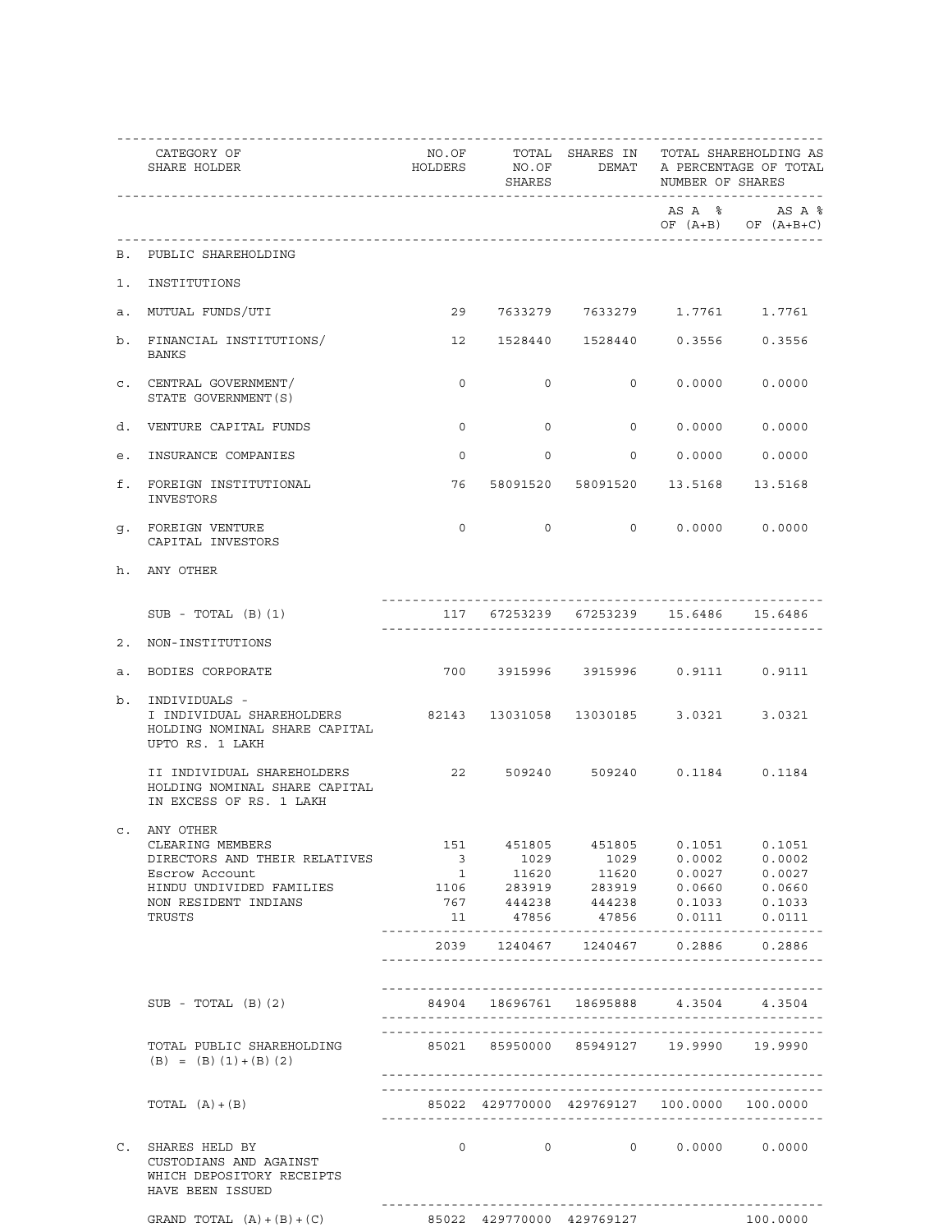|                | CATEGORY OF<br>SHARE HOLDER                                                                    |                                         | SHARES            |                                                                                                                                                                                                                                      | NUMBER OF SHARES        | NO.OF TOTAL SHARES IN TOTAL SHAREHOLDING AS<br>HOLDERS NO.OF DEMAT A PERCENTAGE OF TOTAL |
|----------------|------------------------------------------------------------------------------------------------|-----------------------------------------|-------------------|--------------------------------------------------------------------------------------------------------------------------------------------------------------------------------------------------------------------------------------|-------------------------|------------------------------------------------------------------------------------------|
|                |                                                                                                |                                         |                   |                                                                                                                                                                                                                                      |                         | AS A % AS A %<br>OF $(A+B)$ OF $(A+B+C)$                                                 |
|                | B. PUBLIC SHAREHOLDING                                                                         |                                         |                   |                                                                                                                                                                                                                                      |                         |                                                                                          |
|                | 1. INSTITUTIONS                                                                                |                                         |                   |                                                                                                                                                                                                                                      |                         |                                                                                          |
|                | a. MUTUAL FUNDS/UTI                                                                            |                                         |                   | 29 7633279 7633279 1.7761 1.7761                                                                                                                                                                                                     |                         |                                                                                          |
|                | b. FINANCIAL INSTITUTIONS/<br>BANKS                                                            |                                         |                   | 12  1528440  1528440  0.3556  0.3556                                                                                                                                                                                                 |                         |                                                                                          |
|                | C. CENTRAL GOVERNMENT/<br>STATE GOVERNMENT (S)                                                 | $\Omega$                                | $\Omega$          |                                                                                                                                                                                                                                      | $0 \t 0.0000 \t 0.0000$ |                                                                                          |
|                | d. VENTURE CAPITAL FUNDS                                                                       | $\Omega$                                | $\Omega$          |                                                                                                                                                                                                                                      | 0 0.0000 0.0000         |                                                                                          |
|                | e. INSURANCE COMPANIES                                                                         | $\Omega$                                | $\Omega$          |                                                                                                                                                                                                                                      | $0 \t 0.0000 \t 0.0000$ |                                                                                          |
|                | f. FOREIGN INSTITUTIONAL<br>INVESTORS                                                          |                                         |                   | 76 58091520 58091520 13.5168 13.5168                                                                                                                                                                                                 |                         |                                                                                          |
|                | q. FOREIGN VENTURE<br>CAPITAL INVESTORS                                                        | 0                                       | $\overline{0}$    |                                                                                                                                                                                                                                      | $0 \t 0.0000 \t 0.0000$ |                                                                                          |
|                | h. ANY OTHER                                                                                   |                                         |                   |                                                                                                                                                                                                                                      |                         |                                                                                          |
|                | $SUB - TOTAL (B) (1)$                                                                          |                                         |                   | 117 67253239 67253239 15.6486 15.6486                                                                                                                                                                                                |                         |                                                                                          |
|                | 2. NON-INSTITUTIONS                                                                            |                                         |                   |                                                                                                                                                                                                                                      |                         |                                                                                          |
| а.             | BODIES CORPORATE                                                                               |                                         |                   | 700 3915996 3915996 0.9111 0.9111                                                                                                                                                                                                    |                         |                                                                                          |
| b.             | INDIVIDUALS -<br>I INDIVIDUAL SHAREHOLDERS<br>HOLDING NOMINAL SHARE CAPITAL<br>UPTO RS. 1 LAKH | 82143 13031058 13030185 3.0321 3.0321   |                   |                                                                                                                                                                                                                                      |                         |                                                                                          |
|                | II INDIVIDUAL SHAREHOLDERS<br>HOLDING NOMINAL SHARE CAPITAL<br>IN EXCESS OF RS. 1 LAKH         |                                         |                   | 22 509240 509240 0.1184 0.1184                                                                                                                                                                                                       |                         |                                                                                          |
| $\mathsf{C}$ . | ANY OTHER<br>CLEARING MEMBERS                                                                  |                                         |                   | 151 451805 451805 0.1051                                                                                                                                                                                                             |                         | 0.1051                                                                                   |
|                | DIRECTORS AND THEIR RELATIVES                                                                  |                                         |                   |                                                                                                                                                                                                                                      |                         |                                                                                          |
|                | Escrow Account                                                                                 |                                         |                   | $\begin{array}{cccccc} 3 & \hspace{1.5mm} 1029 & \hspace{1.5mm} 1029 & \hspace{1.5mm} 0.0002 & \hspace{1.5mm} 0.0002 \\ 1 & \hspace{1.5mm} 11620 & \hspace{1.5mm} 11620 & \hspace{1.5mm} 0.0027 & \hspace{1.5mm} 0.0027 \end{array}$ |                         |                                                                                          |
|                |                                                                                                |                                         |                   |                                                                                                                                                                                                                                      |                         |                                                                                          |
|                | HINDU UNDIVIDED FAMILIES                                                                       |                                         |                   | $1106$ 283919 283919 0.0660 0.0660<br>767 444238 444238 0.1033 0.1033                                                                                                                                                                |                         |                                                                                          |
|                | NON RESIDENT INDIANS                                                                           |                                         |                   |                                                                                                                                                                                                                                      |                         |                                                                                          |
|                | TRUSTS                                                                                         | 11                                      |                   | 47856 47856 0.0111                                                                                                                                                                                                                   |                         | 0.0111                                                                                   |
|                |                                                                                                |                                         |                   | 2039 1240467 1240467 0.2886 0.2886                                                                                                                                                                                                   |                         |                                                                                          |
|                |                                                                                                |                                         |                   |                                                                                                                                                                                                                                      |                         |                                                                                          |
|                | $SUB - TOTAL (B) (2)$                                                                          |                                         |                   | 84904 18696761 18695888 4.3504                                                                                                                                                                                                       |                         | 4.3504                                                                                   |
|                | TOTAL PUBLIC SHAREHOLDING<br>$(B) = (B) (1) + (B) (2)$                                         | 85021 85950000 85949127 19.9990 19.9990 |                   |                                                                                                                                                                                                                                      |                         |                                                                                          |
|                | TOTAL $(A) + (B)$                                                                              |                                         |                   | 85022 429770000 429769127 100.0000 100.0000                                                                                                                                                                                          |                         |                                                                                          |
| $\mathsf{C}$ . | SHARES HELD BY<br>CUSTODIANS AND AGAINST<br>WHICH DEPOSITORY RECEIPTS<br>HAVE BEEN ISSUED      |                                         | $0 \qquad \qquad$ | $0 \qquad \qquad 0 \qquad \qquad 0.0000 \qquad \qquad 0.0000$                                                                                                                                                                        |                         |                                                                                          |
|                | GRAND TOTAL $(A) + (B) + (C)$                                                                  | 85022 429770000 429769127 100.0000      |                   |                                                                                                                                                                                                                                      |                         |                                                                                          |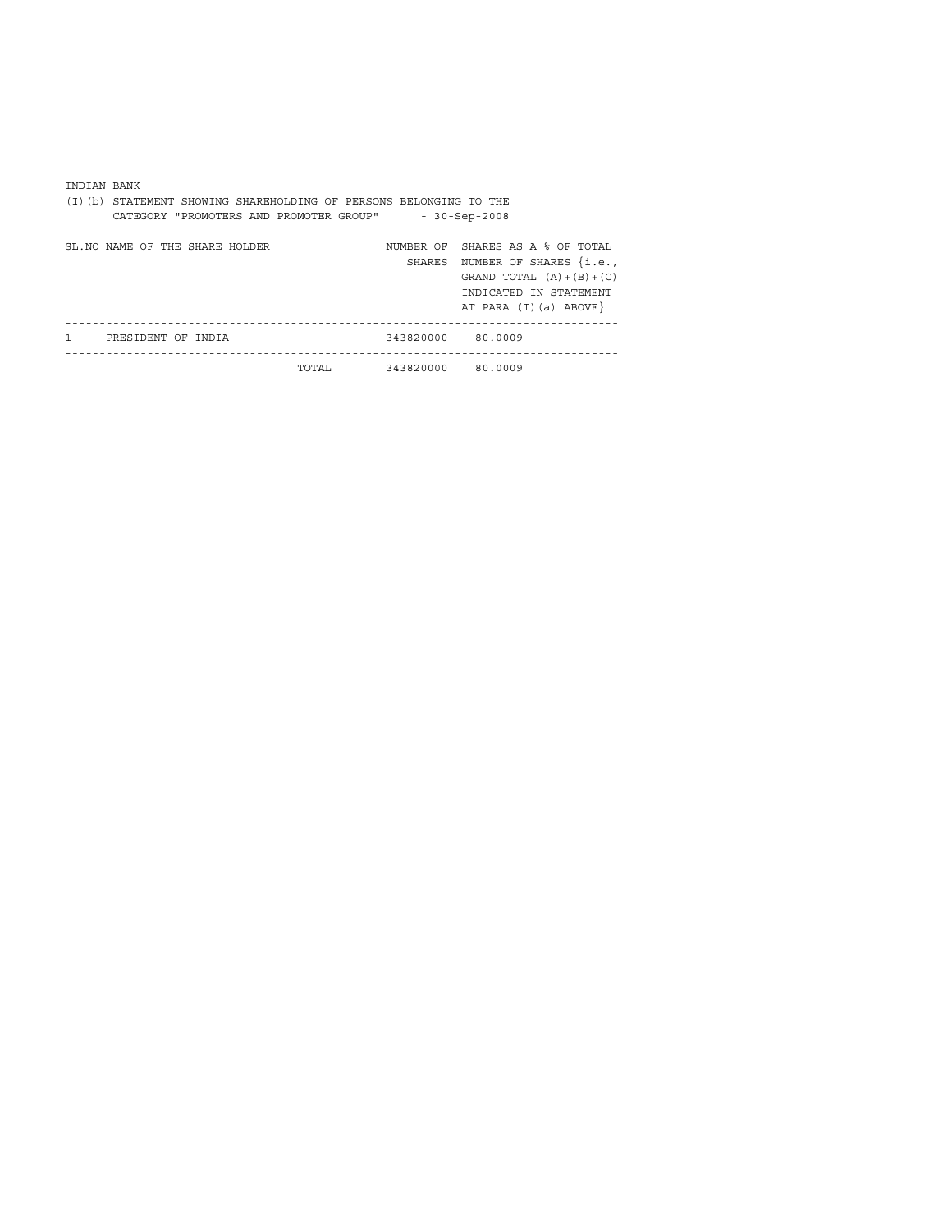| INDIAN BANK  |                                 | (I)(b) STATEMENT SHOWING SHAREHOLDING OF PERSONS BELONGING TO THE<br>CATEGORY "PROMOTERS AND PROMOTER GROUP" |                   | $-30-Sep-2008$                                                                                                                                            |
|--------------|---------------------------------|--------------------------------------------------------------------------------------------------------------|-------------------|-----------------------------------------------------------------------------------------------------------------------------------------------------------|
|              | SL. NO NAME OF THE SHARE HOLDER |                                                                                                              | SHARES            | NUMBER OF SHARES AS A % OF TOTAL<br>NUMBER OF SHARES $\{i.e.,\}$<br>GRAND TOTAL $(A) + (B) + (C)$<br>INDICATED IN STATEMENT<br>AT PARA $(I)$ $(a)$ ABOVE} |
| $\mathbf{1}$ | PRESIDENT OF INDIA              |                                                                                                              | 343820000 80.0009 |                                                                                                                                                           |
|              |                                 | TOTAL                                                                                                        | 343820000 80.0009 |                                                                                                                                                           |
|              |                                 |                                                                                                              |                   |                                                                                                                                                           |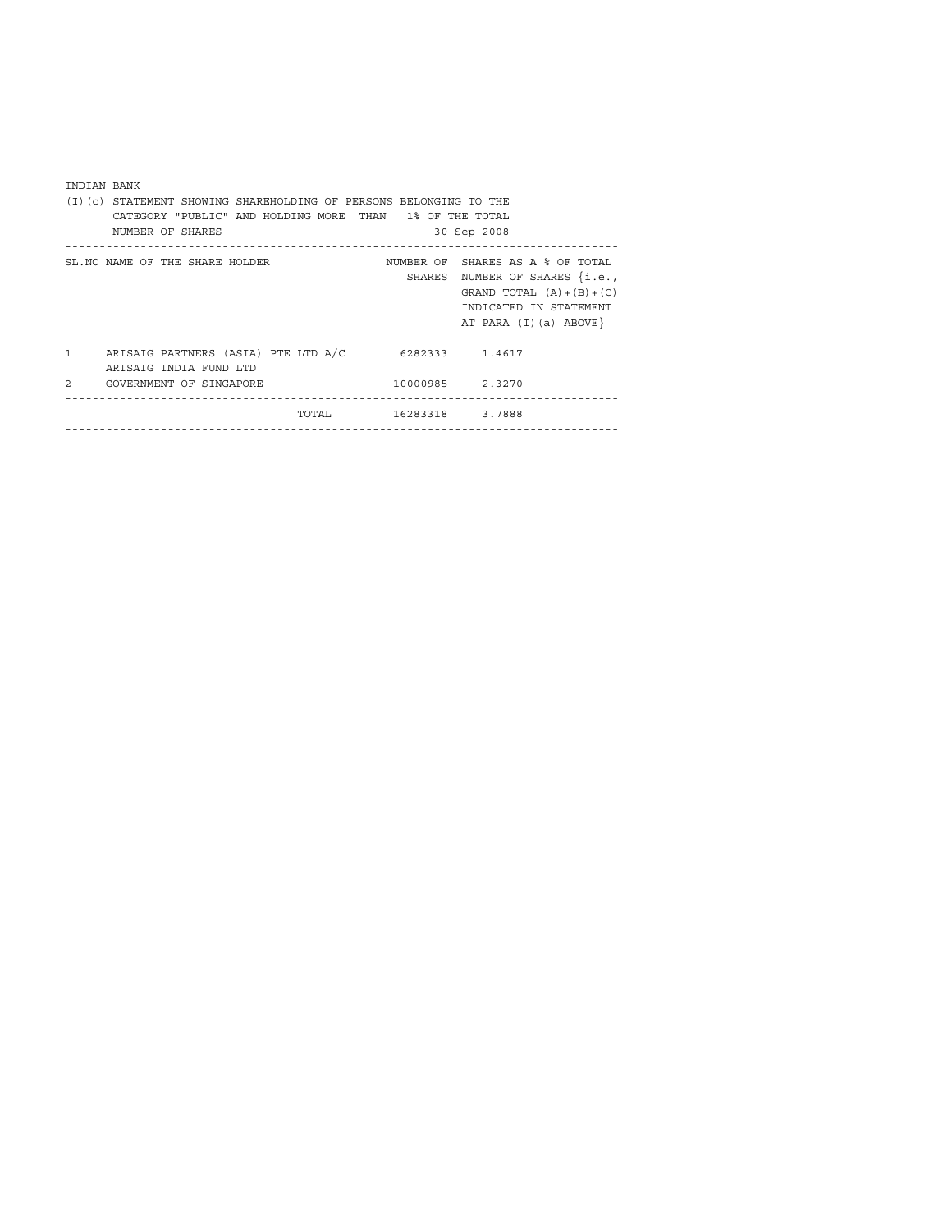| INDIAN BANK                                                                   |                                                                                                                                                                     |  |  |  |  |  |  |  |  |  |  |
|-------------------------------------------------------------------------------|---------------------------------------------------------------------------------------------------------------------------------------------------------------------|--|--|--|--|--|--|--|--|--|--|
| (I)(c) STATEMENT SHOWING SHAREHOLDING OF PERSONS BELONGING TO THE             |                                                                                                                                                                     |  |  |  |  |  |  |  |  |  |  |
| CATEGORY "PUBLIC" AND HOLDING MORE THAN 1% OF THE TOTAL                       |                                                                                                                                                                     |  |  |  |  |  |  |  |  |  |  |
| NUMBER OF SHARES                                                              | $-30-Sep-2008$                                                                                                                                                      |  |  |  |  |  |  |  |  |  |  |
| SL. NO NAME OF THE SHARE HOLDER                                               | NUMBER OF SHARES AS A % OF TOTAL<br>NUMBER OF SHARES $\{i.e.,\}$<br>SHARES<br>GRAND TOTAL $(A) + (B) + (C)$<br>INDICATED IN STATEMENT<br>AT PARA $(I)$ $(a)$ ABOVE} |  |  |  |  |  |  |  |  |  |  |
| ARISAIG PARTNERS (ASIA) PTE LTD A/C<br>$\mathbf{1}$<br>ARISAIG INDIA FUND LTD | 6282333 1.4617                                                                                                                                                      |  |  |  |  |  |  |  |  |  |  |
| $\mathfrak{D}$<br>GOVERNMENT OF SINGAPORE                                     | 10000985 2.3270                                                                                                                                                     |  |  |  |  |  |  |  |  |  |  |
| TOTAL TOTAL                                                                   | 16283318 3.7888                                                                                                                                                     |  |  |  |  |  |  |  |  |  |  |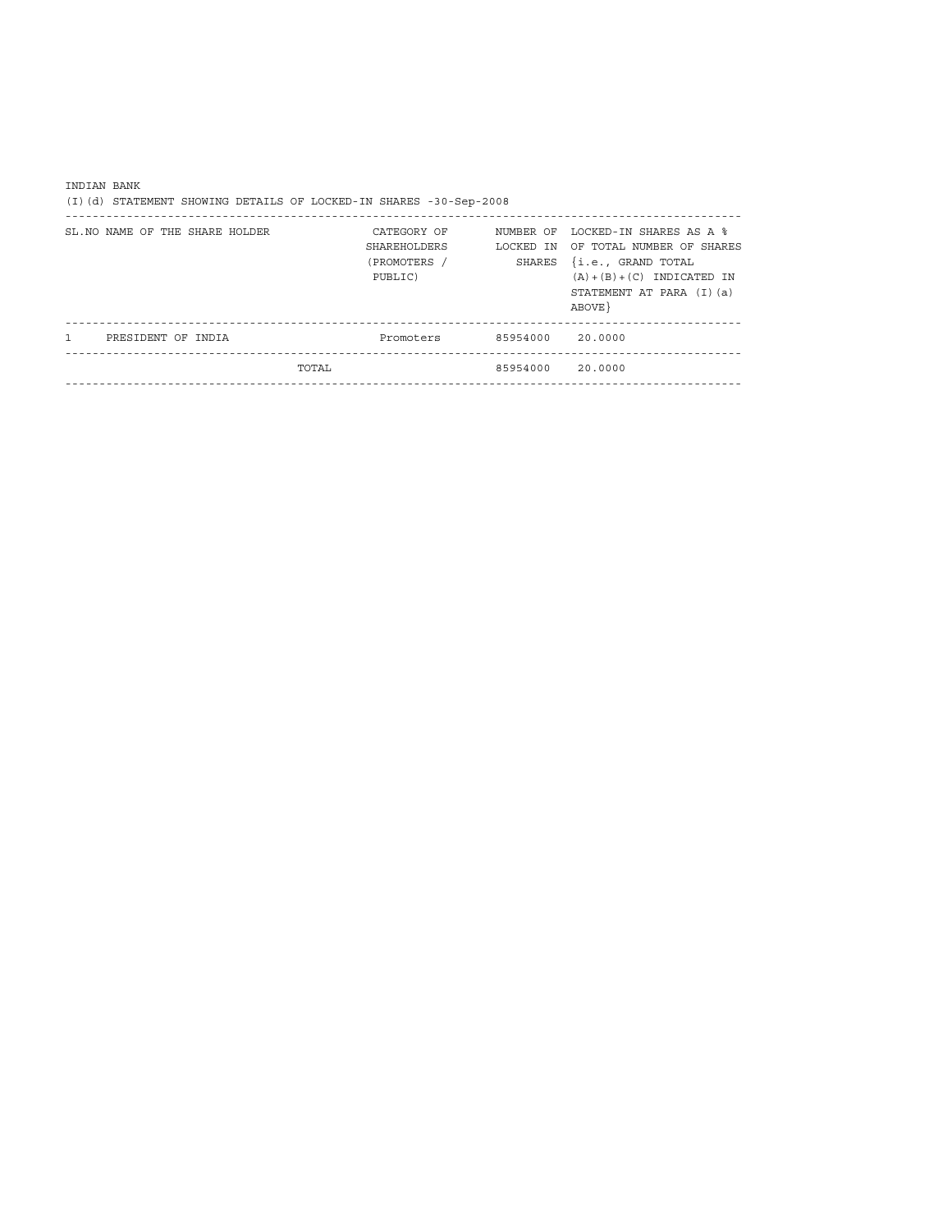| INDIAN BANK<br>(I)(d) STATEMENT SHOWING DETAILS OF LOCKED-IN SHARES -30-Sep-2008 |                                                               |                  |                                                                                                                                                                          |
|----------------------------------------------------------------------------------|---------------------------------------------------------------|------------------|--------------------------------------------------------------------------------------------------------------------------------------------------------------------------|
| SL. NO NAME OF THE SHARE HOLDER                                                  | CATEGORY OF<br><b>SHAREHOLDERS</b><br>(PROMOTERS /<br>PUBLIC) | SHARES           | NUMBER OF LOCKED-IN SHARES AS A %<br>LOCKED IN OF TOTAL NUMBER OF SHARES<br>{i.e., GRAND TOTAL<br>$(A) + (B) + (C)$ INDICATED IN<br>STATEMENT AT PARA (I) (a)<br>ABOVE } |
| $\mathbf{1}$<br>PRESIDENT OF INDIA                                               | Promoters 85954000 20.0000                                    |                  |                                                                                                                                                                          |
|                                                                                  | <b>TOTAL</b>                                                  | 85954000 20.0000 |                                                                                                                                                                          |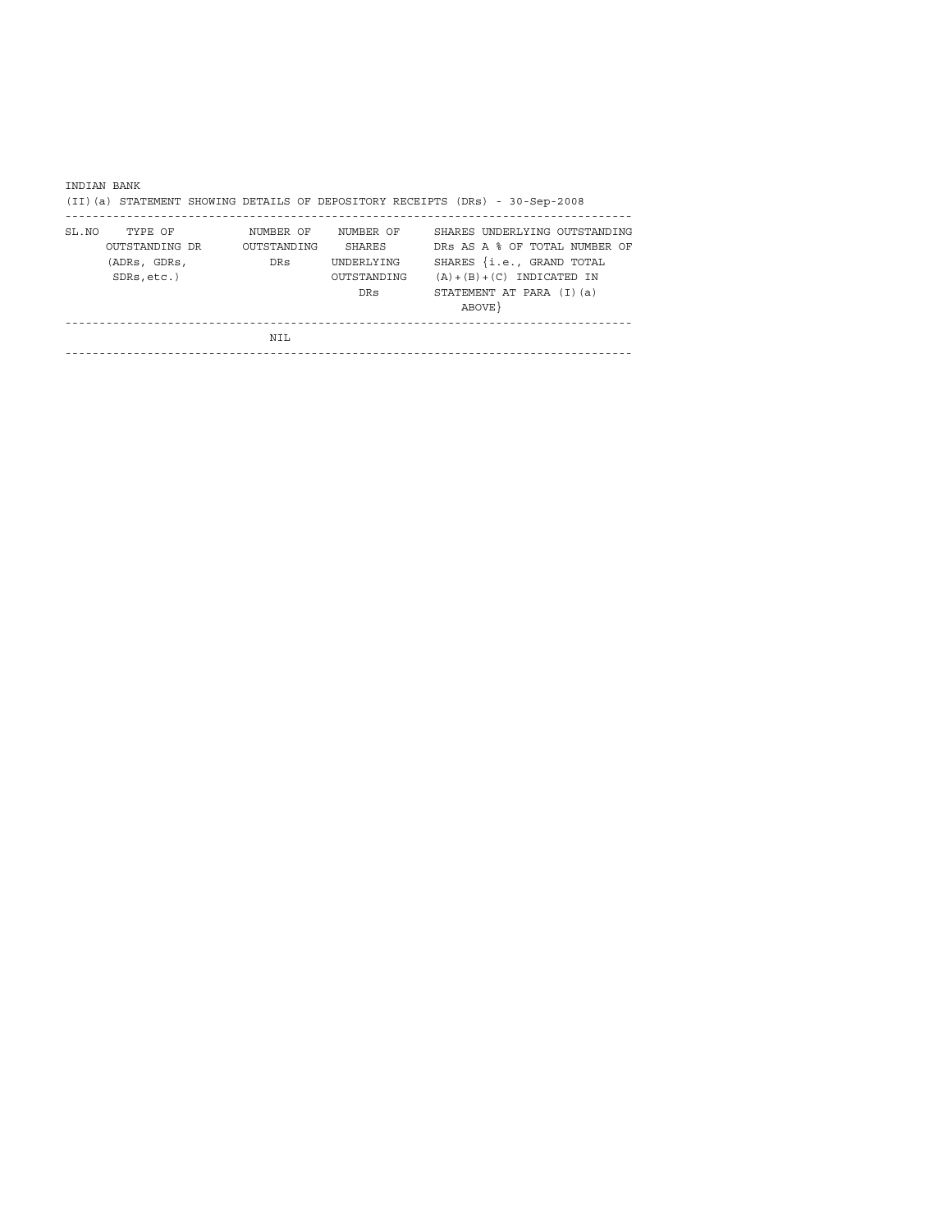|       | INDIAN BANK                    |                          |                           |                                                                               |
|-------|--------------------------------|--------------------------|---------------------------|-------------------------------------------------------------------------------|
|       |                                |                          |                           | (II) (a) STATEMENT SHOWING DETAILS OF DEPOSITORY RECEIPTS (DRs) - 30-Sep-2008 |
| SL NO | TYPE OF<br>OUTSTANDING DR      | NUMBER OF<br>OUTSTANDING | NUMBER OF<br>SHARES       | SHARES UNDERLYING OUTSTANDING<br>DRS AS A % OF TOTAL NUMBER OF                |
|       | (ADRs, GDRs,<br>$SDRs. etc.$ ) | <b>DRs</b>               | UNDERLYING<br>OUTSTANDING | SHARES {i.e., GRAND TOTAL<br>$(A) + (B) + (C)$ INDICATED IN                   |
|       |                                |                          | DRs                       | STATEMENT AT PARA (I) (a)                                                     |
|       |                                |                          |                           | ABOVE }                                                                       |
|       |                                | NTL                      |                           |                                                                               |
|       |                                |                          |                           |                                                                               |